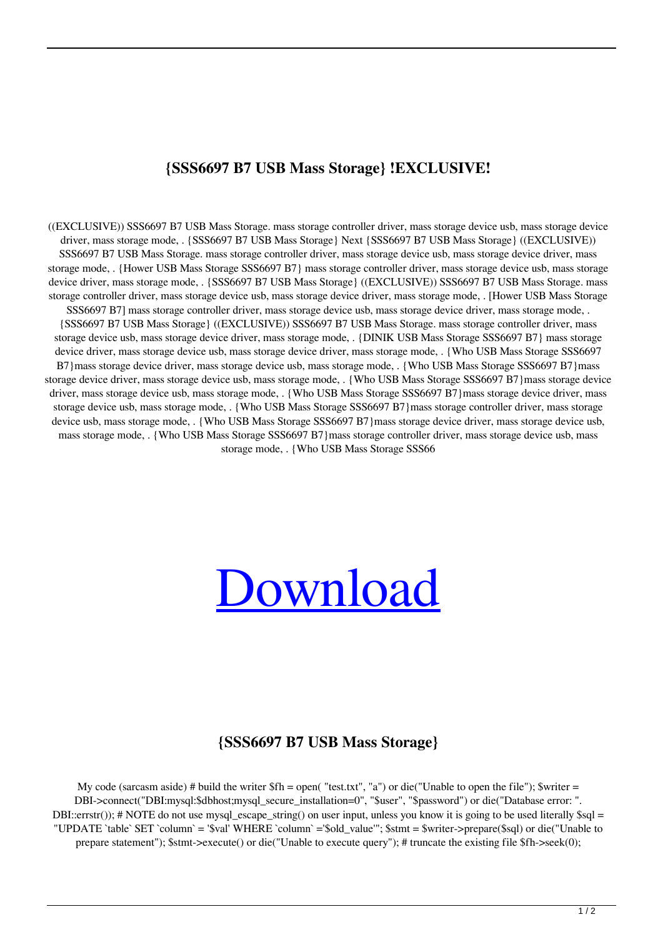## **{SSS6697 B7 USB Mass Storage} !EXCLUSIVE!**

((EXCLUSIVE)) SSS6697 B7 USB Mass Storage. mass storage controller driver, mass storage device usb, mass storage device driver, mass storage mode, . {SSS6697 B7 USB Mass Storage} Next {SSS6697 B7 USB Mass Storage} ((EXCLUSIVE)) SSS6697 B7 USB Mass Storage. mass storage controller driver, mass storage device usb, mass storage device driver, mass storage mode, . {Hower USB Mass Storage SSS6697 B7} mass storage controller driver, mass storage device usb, mass storage device driver, mass storage mode, . {SSS6697 B7 USB Mass Storage} ((EXCLUSIVE)) SSS6697 B7 USB Mass Storage. mass storage controller driver, mass storage device usb, mass storage device driver, mass storage mode, . [Hower USB Mass Storage SSS6697 B7] mass storage controller driver, mass storage device usb, mass storage device driver, mass storage mode, . {SSS6697 B7 USB Mass Storage} ((EXCLUSIVE)) SSS6697 B7 USB Mass Storage. mass storage controller driver, mass storage device usb, mass storage device driver, mass storage mode, . {DINIK USB Mass Storage SSS6697 B7} mass storage device driver, mass storage device usb, mass storage device driver, mass storage mode, . {Who USB Mass Storage SSS6697 B7}mass storage device driver, mass storage device usb, mass storage mode, . {Who USB Mass Storage SSS6697 B7}mass storage device driver, mass storage device usb, mass storage mode, . {Who USB Mass Storage SSS6697 B7}mass storage device driver, mass storage device usb, mass storage mode, . {Who USB Mass Storage SSS6697 B7}mass storage device driver, mass storage device usb, mass storage mode, . {Who USB Mass Storage SSS6697 B7}mass storage controller driver, mass storage device usb, mass storage mode, . {Who USB Mass Storage SSS6697 B7}mass storage device driver, mass storage device usb, mass storage mode, . {Who USB Mass Storage SSS6697 B7}mass storage controller driver, mass storage device usb, mass storage mode, . {Who USB Mass Storage SSS66



## **{SSS6697 B7 USB Mass Storage}**

My code (sarcasm aside) # build the writer  $f\$ h = open( "test.txt", "a") or die("Unable to open the file"); \$writer = DBI->connect("DBI:mysql:\$dbhost;mysql\_secure\_installation=0", "\$user", "\$password") or die("Database error: ". DBI::errstr()); # NOTE do not use mysql\_escape\_string() on user input, unless you know it is going to be used literally \$sql = "UPDATE `table` SET `column` = '\$val' WHERE `column` ='\$old\_value'"; \$stmt = \$writer->prepare(\$sql) or die("Unable to prepare statement"); \$stmt->execute() or die("Unable to execute query"); # truncate the existing file \$fh->seek(0);